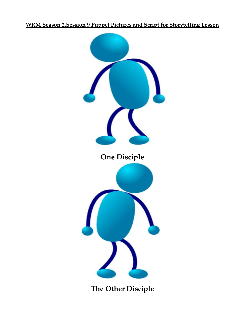## **WRM Season 2.Session 9 Puppet Pictures and Script for Storytelling Lesson**



**The Other Disciple**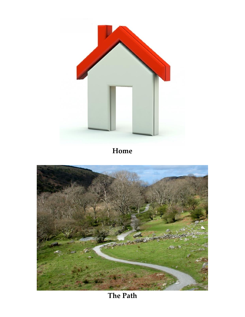

**Home**



**The Path**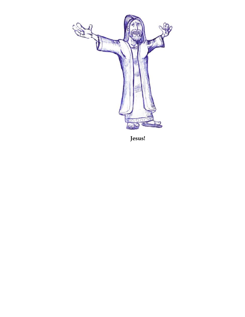

 **Jesus!**